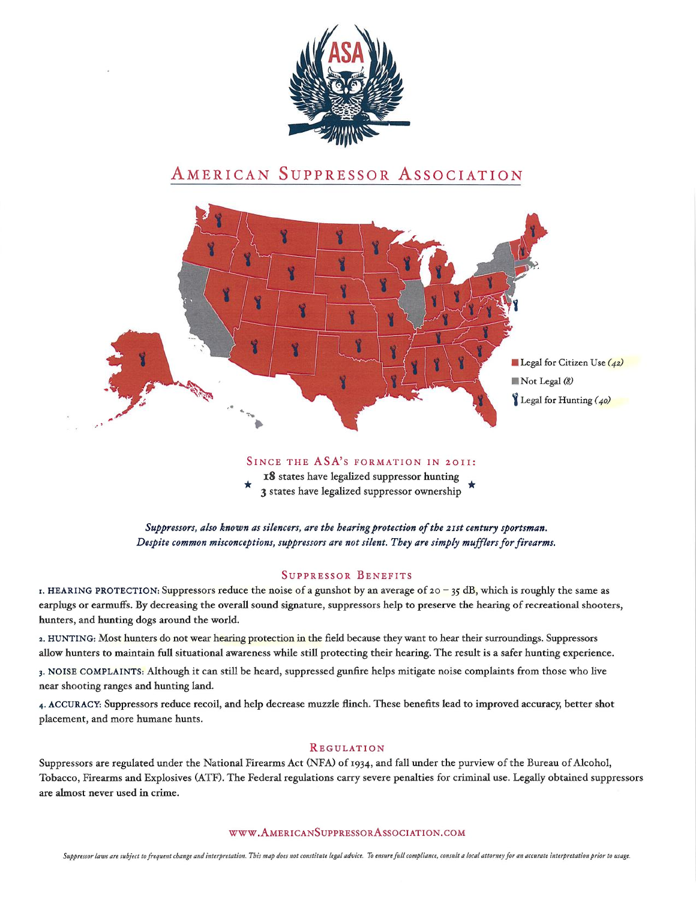

## AMERICAN SUPPRESSOR ASSOCIATION



### SINCE THE ASA'S FORMATION IN 2011:

18 states have legalized suppressor hunting 3 states have legalized suppressor ownership

Suppressors, also known as silencers, are the hearing protection of the 21st century sportsman. Despite common misconceptions, suppressors are not silent. They are simply mufflers for firearms.

### SUPPRESSOR BENEFITS

r. HEARING PROTECTION: Suppressors reduce the noise of a gunshot by an average of  $20 - 35$  dB, which is roughly the same as earplugs or earmuffs. By decreasing the overall sound signature, suppressors help to preserve the hearing of recreational shooters, hunters, and hunting dogs around the world.

z. HUNTING: Most hunters do not wear hearing protection in the field because they want to hear their surroundings. Suppressors allow hunters to maintain full situational awareness while still protecting their hearing. The result is a safer hunting experience.

3. NOISE COMPLAINTS: Although it can still be heard, suppressed gunfire helps mitigate noise complaints from those who live near shooting ranges and hunting land.

4. ACCURACY: Suppressors reduce recoil, and help decrease muzzle flinch. These benefits lead to improved accuracy, better shot placement, and more humane hunts.

### REGULATION

Suppressors are regulated under the National Firearms Act (NFA) of 1934, and fall under the purview of the Bureau of Alcohol, Tobacco, Firearms and Explosives (ATF). The Federal regulations carry severe penalties for criminal use. Legally obtained suppressors are almost never used in crime.

#### WW W.AMERICANSUPPRESSORASSOCIATION.COM